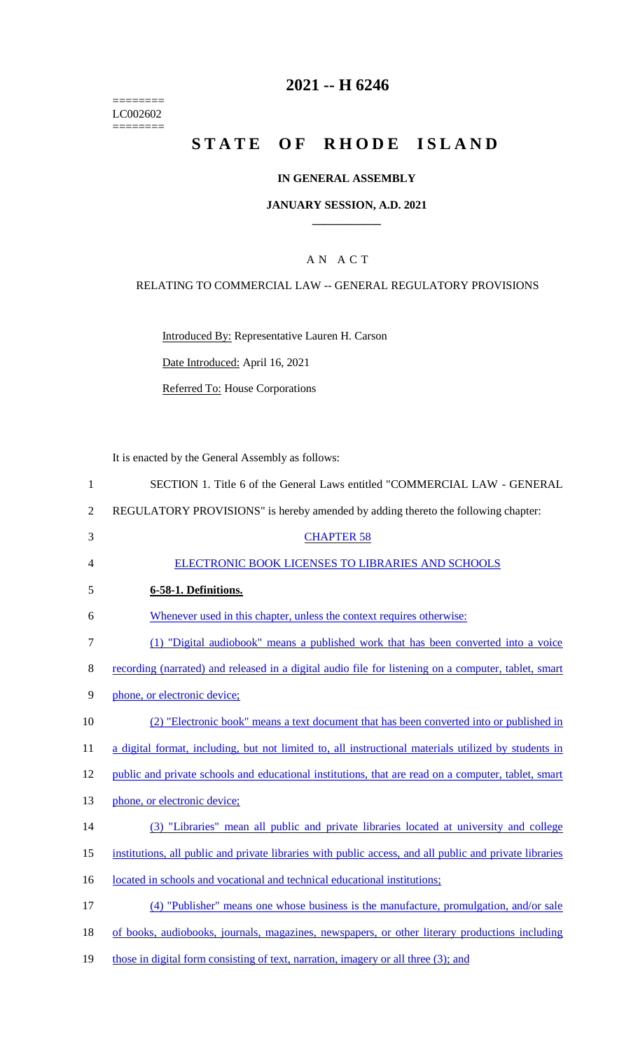======== LC002602 ========

### **2021 -- H 6246**

# STATE OF RHODE ISLAND

### **IN GENERAL ASSEMBLY**

#### **JANUARY SESSION, A.D. 2021 \_\_\_\_\_\_\_\_\_\_\_\_**

### A N A C T

#### RELATING TO COMMERCIAL LAW -- GENERAL REGULATORY PROVISIONS

Introduced By: Representative Lauren H. Carson

Date Introduced: April 16, 2021

Referred To: House Corporations

It is enacted by the General Assembly as follows:

 SECTION 1. Title 6 of the General Laws entitled "COMMERCIAL LAW - GENERAL REGULATORY PROVISIONS" is hereby amended by adding thereto the following chapter: CHAPTER 58 ELECTRONIC BOOK LICENSES TO LIBRARIES AND SCHOOLS **6-58-1. Definitions.**  Whenever used in this chapter, unless the context requires otherwise: (1) "Digital audiobook" means a published work that has been converted into a voice recording (narrated) and released in a digital audio file for listening on a computer, tablet, smart 9 phone, or electronic device; (2) "Electronic book" means a text document that has been converted into or published in a digital format, including, but not limited to, all instructional materials utilized by students in 12 public and private schools and educational institutions, that are read on a computer, tablet, smart 13 phone, or electronic device; (3) "Libraries" mean all public and private libraries located at university and college institutions, all public and private libraries with public access, and all public and private libraries located in schools and vocational and technical educational institutions; (4) "Publisher" means one whose business is the manufacture, promulgation, and/or sale of books, audiobooks, journals, magazines, newspapers, or other literary productions including 19 those in digital form consisting of text, narration, imagery or all three (3); and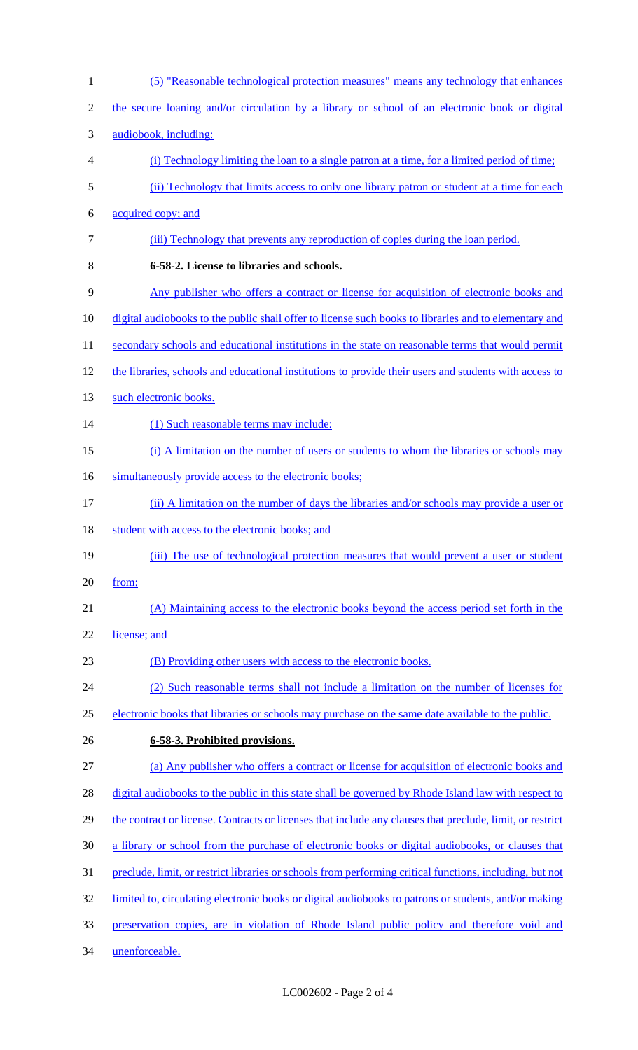| $\mathbf{1}$   | (5) "Reasonable technological protection measures" means any technology that enhances                     |
|----------------|-----------------------------------------------------------------------------------------------------------|
| $\overline{2}$ | the secure loaning and/or circulation by a library or school of an electronic book or digital             |
| 3              | audiobook, including:                                                                                     |
| 4              | (i) Technology limiting the loan to a single patron at a time, for a limited period of time;              |
| 5              | (ii) Technology that limits access to only one library patron or student at a time for each               |
| 6              | acquired copy; and                                                                                        |
| 7              | (iii) Technology that prevents any reproduction of copies during the loan period.                         |
| 8              | 6-58-2. License to libraries and schools.                                                                 |
| 9              | Any publisher who offers a contract or license for acquisition of electronic books and                    |
| 10             | digital audiobooks to the public shall offer to license such books to libraries and to elementary and     |
| 11             | secondary schools and educational institutions in the state on reasonable terms that would permit         |
| 12             | the libraries, schools and educational institutions to provide their users and students with access to    |
| 13             | such electronic books.                                                                                    |
| 14             | (1) Such reasonable terms may include:                                                                    |
| 15             | (i) A limitation on the number of users or students to whom the libraries or schools may                  |
| 16             | simultaneously provide access to the electronic books;                                                    |
| 17             | (ii) A limitation on the number of days the libraries and/or schools may provide a user or                |
| 18             | student with access to the electronic books; and                                                          |
| 19             | (iii) The use of technological protection measures that would prevent a user or student                   |
| 20             | from:                                                                                                     |
| 21             | (A) Maintaining access to the electronic books beyond the access period set forth in the                  |
| 22             | license; and                                                                                              |
| 23             | (B) Providing other users with access to the electronic books.                                            |
| 24             | (2) Such reasonable terms shall not include a limitation on the number of licenses for                    |
| 25             | electronic books that libraries or schools may purchase on the same date available to the public.         |
| 26             | 6-58-3. Prohibited provisions.                                                                            |
| 27             | (a) Any publisher who offers a contract or license for acquisition of electronic books and                |
| 28             | digital audiobooks to the public in this state shall be governed by Rhode Island law with respect to      |
| 29             | the contract or license. Contracts or licenses that include any clauses that preclude, limit, or restrict |
| 30             | a library or school from the purchase of electronic books or digital audiobooks, or clauses that          |
| 31             | preclude, limit, or restrict libraries or schools from performing critical functions, including, but not  |
| 32             | limited to, circulating electronic books or digital audiobooks to patrons or students, and/or making      |
| 33             | preservation copies, are in violation of Rhode Island public policy and therefore void and                |
| 34             | unenforceable.                                                                                            |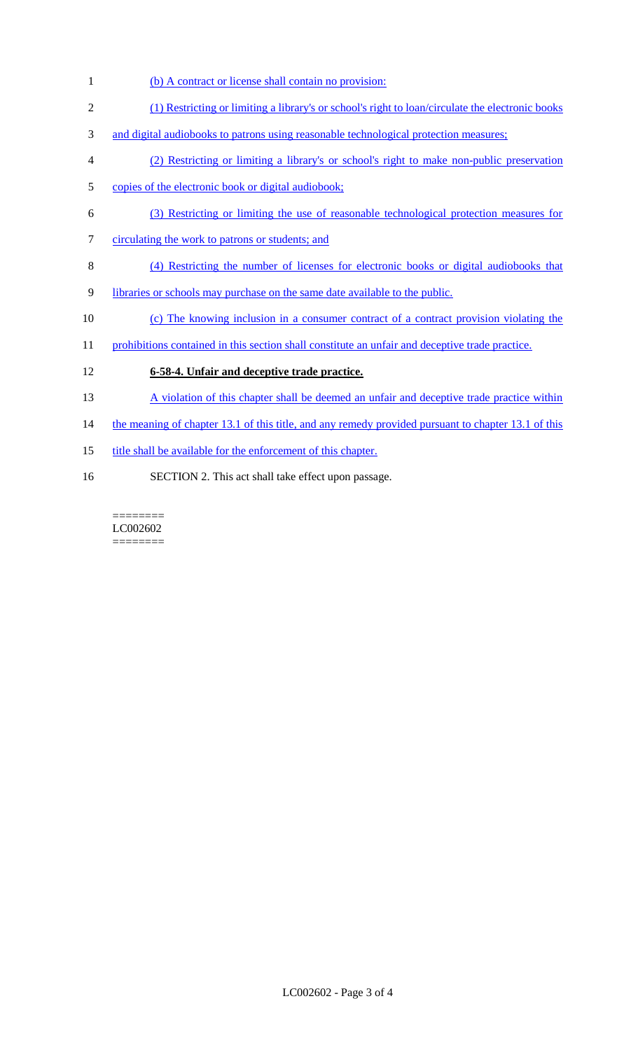- 1 (b) A contract or license shall contain no provision:
- 2 (1) Restricting or limiting a library's or school's right to loan/circulate the electronic books
- 3 and digital audiobooks to patrons using reasonable technological protection measures;
- 4 (2) Restricting or limiting a library's or school's right to make non-public preservation
- 5 copies of the electronic book or digital audiobook;
- 6 (3) Restricting or limiting the use of reasonable technological protection measures for
- 7 circulating the work to patrons or students; and
- 8 (4) Restricting the number of licenses for electronic books or digital audiobooks that
- 9 libraries or schools may purchase on the same date available to the public.
- 10 (c) The knowing inclusion in a consumer contract of a contract provision violating the
- 11 prohibitions contained in this section shall constitute an unfair and deceptive trade practice.

# 12 **6-58-4. Unfair and deceptive trade practice.**

- 13 A violation of this chapter shall be deemed an unfair and deceptive trade practice within
- 14 the meaning of chapter 13.1 of this title, and any remedy provided pursuant to chapter 13.1 of this
- 15 title shall be available for the enforcement of this chapter.
- 16 SECTION 2. This act shall take effect upon passage.

======== LC002602 ========